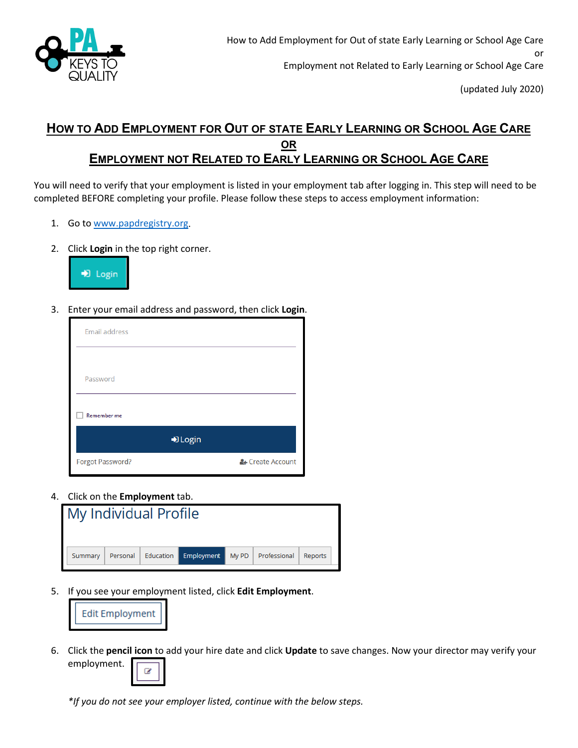

## **HOW TO ADD EMPLOYMENT FOR OUT OF STATE EARLY LEARNING OR SCHOOL AGE CARE OR EMPLOYMENT NOT RELATED TO EARLY LEARNING OR SCHOOL AGE CARE**

You will need to verify that your employment is listed in your employment tab after logging in. This step will need to be completed BEFORE completing your profile. Please follow these steps to access employment information:

- 1. Go to [www.papdregistry.org.](http://www.papdregistry.org/)
- 2. Click **Login** in the top right corner.



3. Enter your email address and password, then click **Login**.

| <b>Email address</b> |                  |
|----------------------|------------------|
|                      |                  |
| Password             |                  |
| <b>Remember me</b>   |                  |
|                      | D Login          |
| Forgot Password?     | & Create Account |

4. Click on the **Employment** tab.

| My Individual Profile |  |                               |       |              |         |
|-----------------------|--|-------------------------------|-------|--------------|---------|
| Summary               |  | Personal Education Employment | My PD | Professional | Reports |

5. If you see your employment listed, click **Edit Employment**.



6. Click the **pencil icon** to add your hire date and click **Update** to save changes. Now your director may verify your employment.



*\*If you do not see your employer listed, continue with the below steps.*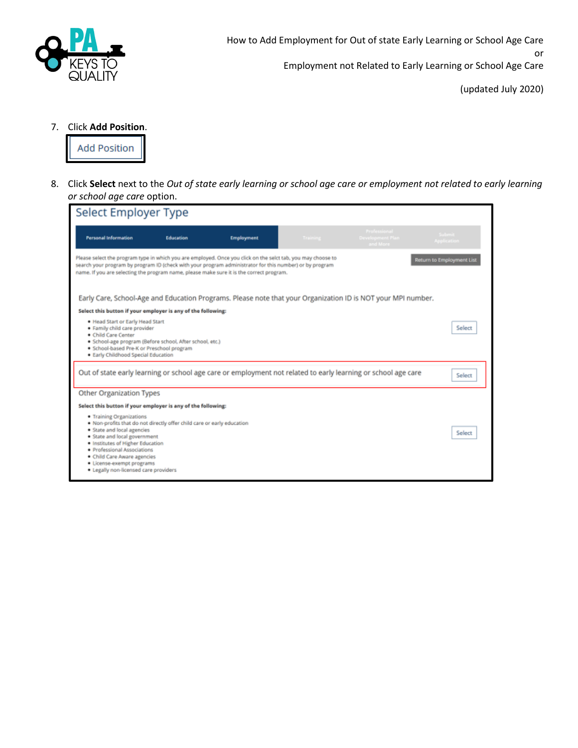

How to Add Employment for Out of state Early Learning or School Age Care or

Employment not Related to Early Learning or School Age Care

(updated July 2020)

7. Click **Add Position**.



8. Click **Select** next to the *Out of state early learning or school age care or employment not related to early learning or school age care* option.

| Select Employer Type                                                                                                                                                                                                                                                                                                                             |                  |                   |          |                                                                                                               |                       |
|--------------------------------------------------------------------------------------------------------------------------------------------------------------------------------------------------------------------------------------------------------------------------------------------------------------------------------------------------|------------------|-------------------|----------|---------------------------------------------------------------------------------------------------------------|-----------------------|
| <b>Personal Information</b>                                                                                                                                                                                                                                                                                                                      | <b>Education</b> | <b>Employment</b> | Training | Professional<br>Development Plan<br>and More                                                                  | Submit<br>Application |
| Please select the program type in which you are employed. Once you click on the selct tab, you may choose to<br>Return to Employment List<br>search your program by program ID (check with your program administrator for this number) or by program<br>name. If you are selecting the program name, please make sure it is the correct program. |                  |                   |          |                                                                                                               |                       |
|                                                                                                                                                                                                                                                                                                                                                  |                  |                   |          | Early Care, School-Age and Education Programs. Please note that your Organization ID is NOT your MPI number.  |                       |
| Select this button if your employer is any of the following:                                                                                                                                                                                                                                                                                     |                  |                   |          |                                                                                                               |                       |
| . Head Start or Early Head Start<br>· Family child care provider<br>· Child Care Center<br>· School-age program (Before school, After school, etc.)<br>· School-based Pre-K or Preschool program<br>· Early Childhood Special Education                                                                                                          |                  |                   |          |                                                                                                               | Select                |
|                                                                                                                                                                                                                                                                                                                                                  |                  |                   |          | Out of state early learning or school age care or employment not related to early learning or school age care | Select                |
| <b>Other Organization Types</b>                                                                                                                                                                                                                                                                                                                  |                  |                   |          |                                                                                                               |                       |
| Select this button if your employer is any of the following:                                                                                                                                                                                                                                                                                     |                  |                   |          |                                                                                                               |                       |
| · Training Organizations<br>. Non-profits that do not directly offer child care or early education<br>· State and local agencies<br>· State and local government<br>. Institutes of Higher Education<br>· Professional Associations<br>· Child Care Aware agencies<br>· License-exempt programs<br>· Legally non-licensed care providers         |                  |                   |          |                                                                                                               | Select                |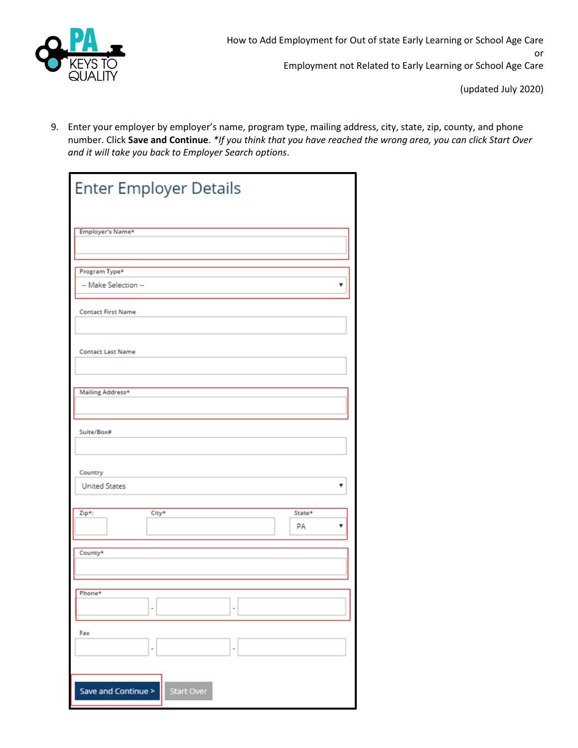

9. Enter your employer by employer's name, program type, mailing address, city, state, zip, county, and phone number. Click **Save and Continue**. *\*If you think that you have reached the wrong area, you can click Start Over and it will take you back to Employer Search options*.

| <b>Enter Employer Details</b> |                   |   |        |
|-------------------------------|-------------------|---|--------|
|                               |                   |   |        |
| Employer's Name*              |                   |   |        |
|                               |                   |   |        |
|                               |                   |   |        |
| Program Type*                 |                   |   |        |
| -- Make Selection --          |                   |   |        |
|                               |                   |   |        |
|                               |                   |   |        |
| <b>Contact First Name</b>     |                   |   |        |
|                               |                   |   |        |
|                               |                   |   |        |
| <b>Contact Last Name</b>      |                   |   |        |
|                               |                   |   |        |
|                               |                   |   |        |
|                               |                   |   |        |
| Mailing Address*              |                   |   |        |
|                               |                   |   |        |
|                               |                   |   |        |
| Suite/Box#                    |                   |   |        |
|                               |                   |   |        |
|                               |                   |   |        |
|                               |                   |   |        |
| Country                       |                   |   |        |
| <b>United States</b>          |                   |   |        |
|                               |                   |   |        |
|                               |                   |   |        |
| Zip*:                         | City*             |   | State* |
|                               |                   |   | PA     |
|                               |                   |   |        |
| County*                       |                   |   |        |
|                               |                   |   |        |
|                               |                   |   |        |
|                               |                   |   |        |
| Phone*                        |                   |   |        |
|                               | ۰                 | ۰ |        |
|                               |                   |   |        |
| Fax                           |                   |   |        |
|                               |                   |   |        |
|                               |                   |   |        |
|                               |                   |   |        |
|                               |                   |   |        |
| Save and Continue >           | <b>Start Over</b> |   |        |
|                               |                   |   |        |
|                               |                   |   |        |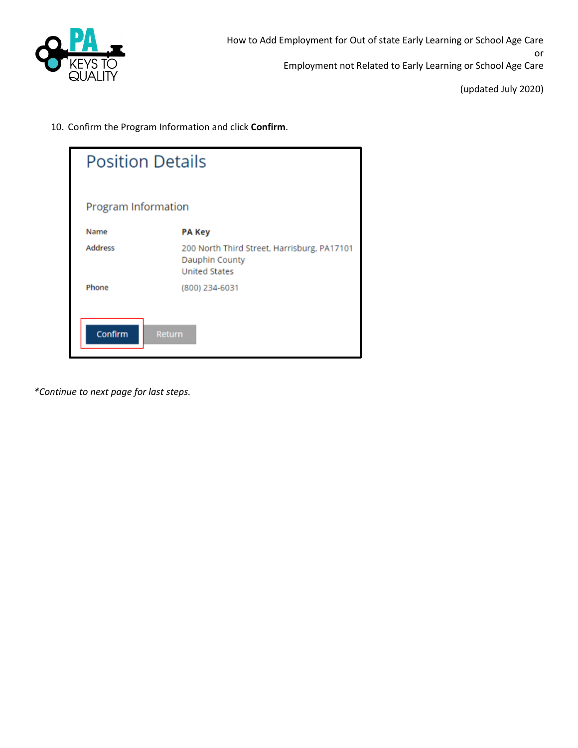

10. Confirm the Program Information and click **Confirm**.

| <b>Position Details</b> |                                                                                       |  |
|-------------------------|---------------------------------------------------------------------------------------|--|
| Program Information     |                                                                                       |  |
| Name                    | <b>PA Key</b>                                                                         |  |
| <b>Address</b>          | 200 North Third Street, Harrisburg, PA17101<br>Dauphin County<br><b>United States</b> |  |
| Phone                   | (800) 234-6031                                                                        |  |
| Confirm<br>Return       |                                                                                       |  |

*\*Continue to next page for last steps.*